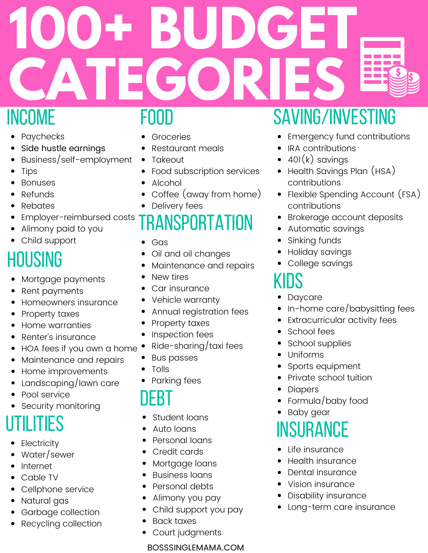# **100+ BUDGET CATEGORIES**

#### income

- Paychecks
- Side hustle earnings
- Business/self-employment
- Tips
- Bonuses
- Refunds
- $\bullet$ Rebates
- Employer-reimbursed costs
- Alimony paid to you
- Child support

## **HOUSING**

- Mortgage payments
- Rent payments
- Homeowners insurance
- Property taxes
- Home warranties
- Renter's insurance  $\bullet$
- HOA fees if you own a home
- Maintenance and repairs  $\bullet$
- Home improvements
- Landscaping/lawn care
- Pool service
- Security monitoring

## **UTILITIES**

- **Electricity**
- Water/sewer  $\bullet$
- Internet
- Cable TV  $\bullet$
- Cellphone service
- Natural gas
- Garbage collection
- Recycling collection

#### food

- Groceries
- Restaurant meals
- $\bullet$ Takeout
- Food subscription services
- Alcohol
- Coffee (away from home)
- Delivery fees

## transportation

- Gas
- Oil and oil changes
- Maintenance and repairs
- New tires
- Car insurance
- Vehicle warranty
- Annual registration fees
- Property taxes
- Inspection fees
- Ride-sharing/taxi fees
- Bus passes
- Tolls
- Parking fees

#### debt

- Student loans
- Auto loans
- Personal loans  $\bullet$
- Credit cards
- Mortgage loans
- Business loans
- Personal debts
- Alimony you pay
- Child support you pay
- Back taxes
- Court judgments

#### BOSSSINGLEMAMA.COM

## saving/investing

- Emergency fund contributions
- IRA contributions
- $401(k)$  savings
- Health Savings Plan (HSA) contributions
- Flexible Spending Account (FSA) contributions
- Brokerage account deposits
- Automatic savings
- Sinking funds
- Holiday savings
- College savings

#### kids

- Daycare
- In-home care/babysitting fees
- Extracurricular activity fees
- School fees
- School supplies
- Uniforms
- Sports equipment  $\bullet$
- Private school tuition
- **Diapers**
- Formula/baby food
- Baby gear

## **INSURANCE**

- Life insurance
- Health insurance
- Dental insurance
- Vision insurance
- Disability insurance
- Long-term care insurance